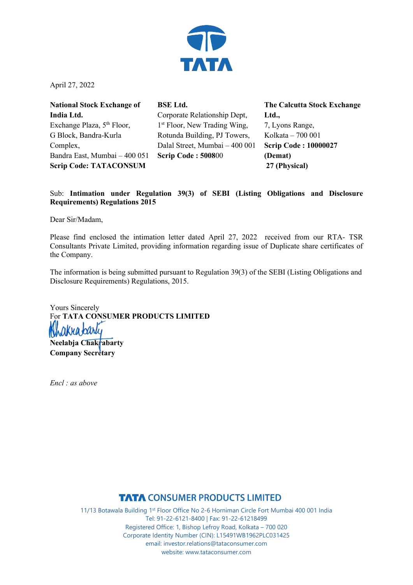

April 27, 2022

| <b>National Stock Exchange of</b>      | <b>BSE Ltd.</b>           |
|----------------------------------------|---------------------------|
| India Ltd.                             | Corporate R               |
| Exchange Plaza, 5 <sup>th</sup> Floor, | 1 <sup>st</sup> Floor, Ne |
| G Block, Bandra-Kurla                  | Rotunda Bui               |
| Complex,                               | Dalal Street,             |
| Bandra East, Mumbai - 400 051          | <b>Scrip Code</b>         |
| <b>Scrip Code: TATACONSUM</b>          |                           |

elationship Dept, w Trading Wing, ilding, PJ Towers, Mumbai – 400 001 **Scrip Code : 5008**00

**The Calcutta Stock Exchange Ltd.,** 7, Lyons Range, Kolkata – 700 001 **Scrip Code : 10000027 (Demat) 27 (Physical)**

Sub: **Intimation under Regulation 39(3) of SEBI (Listing Obligations and Disclosure Requirements) Regulations 2015** 

Dear Sir/Madam,

Please find enclosed the intimation letter dated April 27, 2022 received from our RTA- TSR Consultants Private Limited, providing information regarding issue of Duplicate share certificates of the Company.

The information is being submitted pursuant to Regulation 39(3) of the SEBI (Listing Obligations and Disclosure Requirements) Regulations, 2015.

Yours Sincerely For **TATA CONSUMER PRODUCTS LIMITED Neelabja Chakrabarty Company Secretary** 

*Encl : as above* 

**TATA CONSUMER PRODUCTS LIMITED**<br>11/13 Botawala Building 1<sup>st</sup> Floor Office No 2-6 Horniman Circle Fort Mumbai 400 001 India Tel: 91-22-6121-8400 | Fax: 91-22-61218499 Registered Office: 1, Bishop Lefroy Road, Kolkata – 700 020 Corporate Identity Number (CIN): L15491WB1962PLC031425 email: investor.relations@tataconsumer.com website: www.tataconsumer.com